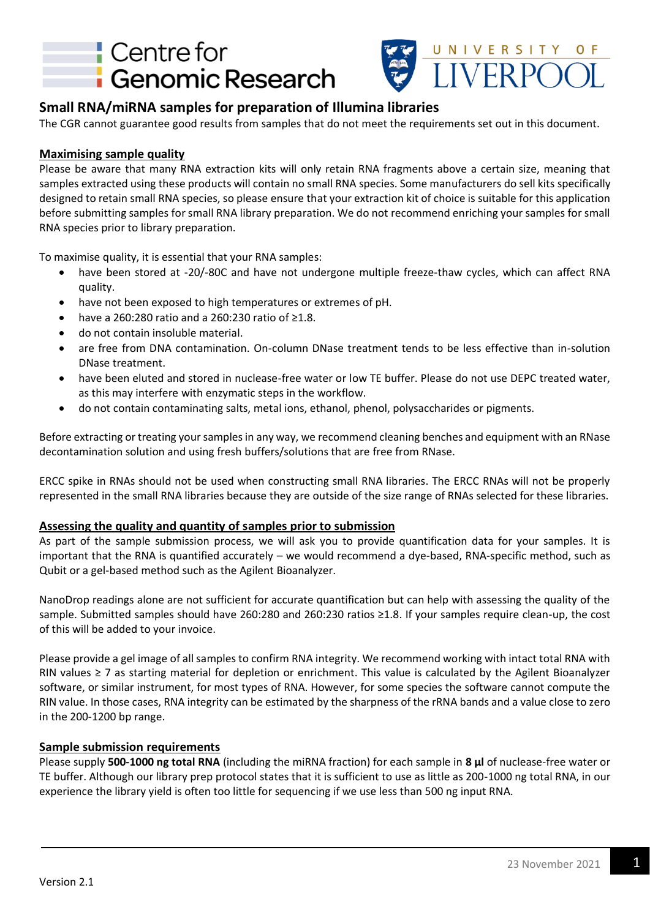# **Centre for Genomic Research**



## **Small RNA/miRNA samples for preparation of Illumina libraries**

The CGR cannot guarantee good results from samples that do not meet the requirements set out in this document.

### **Maximising sample quality**

Please be aware that many RNA extraction kits will only retain RNA fragments above a certain size, meaning that samples extracted using these products will contain no small RNA species. Some manufacturers do sell kits specifically designed to retain small RNA species, so please ensure that your extraction kit of choice is suitable for this application before submitting samples for small RNA library preparation. We do not recommend enriching your samples for small RNA species prior to library preparation.

To maximise quality, it is essential that your RNA samples:

- have been stored at -20/-80C and have not undergone multiple freeze-thaw cycles, which can affect RNA quality.
- have not been exposed to high temperatures or extremes of pH.
- have a 260:280 ratio and a 260:230 ratio of ≥1.8.
- do not contain insoluble material.
- are free from DNA contamination. On-column DNase treatment tends to be less effective than in-solution DNase treatment.
- have been eluted and stored in nuclease-free water or low TE buffer. Please do not use DEPC treated water, as this may interfere with enzymatic steps in the workflow.
- do not contain contaminating salts, metal ions, ethanol, phenol, polysaccharides or pigments.

Before extracting or treating your samples in any way, we recommend cleaning benches and equipment with an RNase decontamination solution and using fresh buffers/solutions that are free from RNase.

ERCC spike in RNAs should not be used when constructing small RNA libraries. The ERCC RNAs will not be properly represented in the small RNA libraries because they are outside of the size range of RNAs selected for these libraries.

#### **Assessing the quality and quantity of samples prior to submission**

As part of the sample submission process, we will ask you to provide quantification data for your samples. It is important that the RNA is quantified accurately – we would recommend a dye-based, RNA-specific method, such as Qubit or a gel-based method such as the Agilent Bioanalyzer.

NanoDrop readings alone are not sufficient for accurate quantification but can help with assessing the quality of the sample. Submitted samples should have 260:280 and 260:230 ratios ≥1.8. If your samples require clean-up, the cost of this will be added to your invoice.

Please provide a gel image of all samples to confirm RNA integrity. We recommend working with intact total RNA with RIN values ≥ 7 as starting material for depletion or enrichment. This value is calculated by the Agilent Bioanalyzer software, or similar instrument, for most types of RNA. However, for some species the software cannot compute the RIN value. In those cases, RNA integrity can be estimated by the sharpness of the rRNA bands and a value close to zero in the 200-1200 bp range.

### **Sample submission requirements**

Please supply **500-1000 ng total RNA** (including the miRNA fraction) for each sample in **8 µl** of nuclease-free water or TE buffer. Although our library prep protocol states that it is sufficient to use as little as 200-1000 ng total RNA, in our experience the library yield is often too little for sequencing if we use less than 500 ng input RNA.